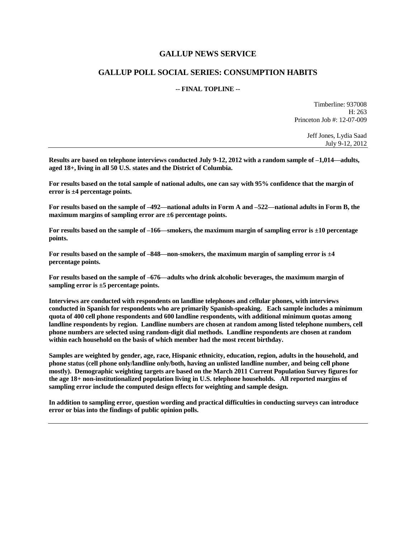## **GALLUP NEWS SERVICE**

## **GALLUP POLL SOCIAL SERIES: CONSUMPTION HABITS**

## **-- FINAL TOPLINE --**

Timberline: 937008 H: 263 Princeton Job #: 12-07-009

> Jeff Jones, Lydia Saad July 9-12, 2012

**Results are based on telephone interviews conducted July 9-12, 2012 with a random sample of –1,014—adults, aged 18+, living in all 50 U.S. states and the District of Columbia.** 

**For results based on the total sample of national adults, one can say with 95% confidence that the margin of error is ±4 percentage points.**

**For results based on the sample of –492—national adults in Form A and –522—national adults in Form B, the maximum margins of sampling error are ±6 percentage points.**

**For results based on the sample of –166—smokers, the maximum margin of sampling error is ±10 percentage points.**

**For results based on the sample of –848—non-smokers, the maximum margin of sampling error is ±4 percentage points.**

**For results based on the sample of –676—adults who drink alcoholic beverages, the maximum margin of sampling error is ±5 percentage points.**

**Interviews are conducted with respondents on landline telephones and cellular phones, with interviews conducted in Spanish for respondents who are primarily Spanish-speaking. Each sample includes a minimum quota of 400 cell phone respondents and 600 landline respondents, with additional minimum quotas among landline respondents by region. Landline numbers are chosen at random among listed telephone numbers, cell phone numbers are selected using random-digit dial methods. Landline respondents are chosen at random within each household on the basis of which member had the most recent birthday.** 

**Samples are weighted by gender, age, race, Hispanic ethnicity, education, region, adults in the household, and phone status (cell phone only/landline only/both, having an unlisted landline number, and being cell phone mostly). Demographic weighting targets are based on the March 2011 Current Population Survey figures for the age 18+ non-institutionalized population living in U.S. telephone households. All reported margins of sampling error include the computed design effects for weighting and sample design.** 

**In addition to sampling error, question wording and practical difficulties in conducting surveys can introduce error or bias into the findings of public opinion polls.**